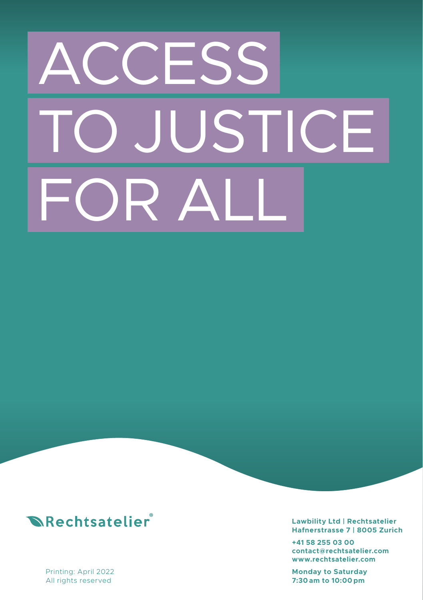# **CESS** JSTICE  $R_{\rm A}$



Printing: April 2022 All rights reserved

**Lawbility Ltd | Rechtsatelier Hafnerstrasse 7 | 8005 Zurich**

**+41 58 255 03 00 contact@rechtsatelier.com www.rechtsatelier.com**

**Monday to Saturday 7:30 am to 10:00 pm**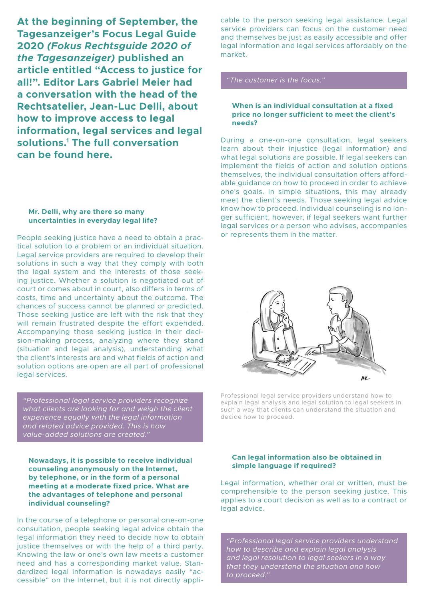**At the beginning of September, the Tagesanzeiger's Focus Legal Guide 2020** *(Fokus Rechtsguide 2020 of the Tagesanzeiger)* **published an article entitled "Access to justice for all!". Editor Lars Gabriel Meier had a conversation with the head of the Rechtsatelier, Jean-Luc Delli, about how to improve access to legal information, legal services and legal solutions.1 The full conversation can be found here.**

#### **Mr. Delli, why are there so many uncertainties in everyday legal life?**

People seeking justice have a need to obtain a practical solution to a problem or an individual situation. Legal service providers are required to develop their solutions in such a way that they comply with both the legal system and the interests of those seeking justice. Whether a solution is negotiated out of court or comes about in court, also differs in terms of costs, time and uncertainty about the outcome. The chances of success cannot be planned or predicted. Those seeking justice are left with the risk that they will remain frustrated despite the effort expended. Accompanying those seeking justice in their decision-making process, analyzing where they stand (situation and legal analysis), understanding what the client's interests are and what fields of action and solution options are open are all part of professional legal services.

*"Professional legal service providers recognize what clients are looking for and weigh the client experience equally with the legal information and related advice provided. This is how* 

**Nowadays, it is possible to receive individual counseling anonymously on the Internet, by telephone, or in the form of a personal meeting at a moderate fixed price. What are the advantages of telephone and personal individual counseling?**

In the course of a telephone or personal one-on-one consultation, people seeking legal advice obtain the legal information they need to decide how to obtain justice themselves or with the help of a third party. Knowing the law or one's own law meets a customer need and has a corresponding market value. Standardized legal information is nowadays easily "accessible" on the Internet, but it is not directly appli-

cable to the person seeking legal assistance. Legal service providers can focus on the customer need and themselves be just as easily accessible and offer legal information and legal services affordably on the market.

#### **When is an individual consultation at a fixed price no longer sufficient to meet the client's needs?**

During a one-on-one consultation, legal seekers learn about their injustice (legal information) and what legal solutions are possible. If legal seekers can implement the fields of action and solution options themselves, the individual consultation offers affordable guidance on how to proceed in order to achieve one's goals. In simple situations, this may already meet the client's needs. Those seeking legal advice know how to proceed. Individual counseling is no longer sufficient, however, if legal seekers want further legal services or a person who advises, accompanies or represents them in the matter.



Professional legal service providers understand how to explain legal analysis and legal solution to legal seekers in such a way that clients can understand the situation and decide how to proceed.

#### **Can legal information also be obtained in simple language if required?**

Legal information, whether oral or written, must be comprehensible to the person seeking justice. This applies to a court decision as well as to a contract or legal advice.

*"Professional legal service providers understand how to describe and explain legal analysis and legal resolution to legal seekers in a way that they understand the situation and how*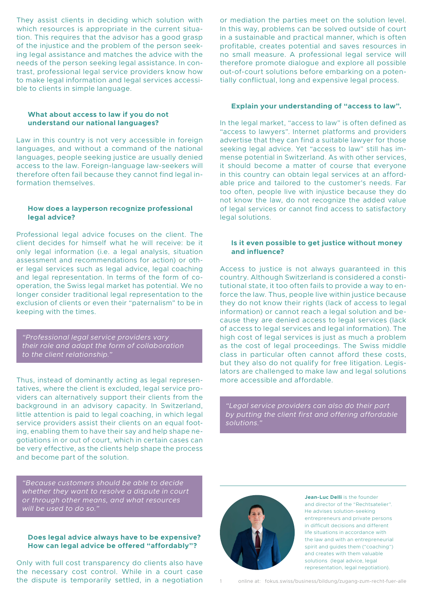They assist clients in deciding which solution with which resources is appropriate in the current situation. This requires that the advisor has a good grasp of the injustice and the problem of the person seeking legal assistance and matches the advice with the needs of the person seeking legal assistance. In contrast, professional legal service providers know how to make legal information and legal services accessible to clients in simple language.

#### **What about access to law if you do not understand our national languages?**

Law in this country is not very accessible in foreign languages, and without a command of the national languages, people seeking justice are usually denied access to the law. Foreign-language law-seekers will therefore often fail because they cannot find legal information themselves.

#### **How does a layperson recognize professional legal advice?**

Professional legal advice focuses on the client. The client decides for himself what he will receive: be it only legal information (i.e. a legal analysis, situation assessment and recommendations for action) or other legal services such as legal advice, legal coaching and legal representation. In terms of the form of cooperation, the Swiss legal market has potential. We no longer consider traditional legal representation to the exclusion of clients or even their "paternalism" to be in keeping with the times.

*"Professional legal service providers vary their role and adapt the form of collaboration to the client relationship."*

Thus, instead of dominantly acting as legal representatives, where the client is excluded, legal service providers can alternatively support their clients from the background in an advisory capacity. In Switzerland, little attention is paid to legal coaching, in which legal service providers assist their clients on an equal footing, enabling them to have their say and help shape negotiations in or out of court, which in certain cases can be very effective, as the clients help shape the process and become part of the solution.

*"Because customers should be able to decide* 

#### **Does legal advice always have to be expensive? How can legal advice be offered "affordably"?**

Only with full cost transparency do clients also have the necessary cost control. While in a court case the dispute is temporarily settled, in a negotiation or mediation the parties meet on the solution level. In this way, problems can be solved outside of court in a sustainable and practical manner, which is often profitable, creates potential and saves resources in no small measure. A professional legal service will therefore promote dialogue and explore all possible out-of-court solutions before embarking on a potentially conflictual, long and expensive legal process.

#### **Explain your understanding of "access to law".**

In the legal market, "access to law" is often defined as "access to lawyers". Internet platforms and providers advertise that they can find a suitable lawyer for those seeking legal advice. Yet "access to law" still has immense potential in Switzerland. As with other services, it should become a matter of course that everyone in this country can obtain legal services at an affordable price and tailored to the customer's needs. Far too often, people live with injustice because they do not know the law, do not recognize the added value of legal services or cannot find access to satisfactory legal solutions.

#### **Is it even possible to get justice without money and influence?**

Access to justice is not always guaranteed in this country. Although Switzerland is considered a constitutional state, it too often fails to provide a way to enforce the law. Thus, people live within justice because they do not know their rights (lack of access to legal information) or cannot reach a legal solution and because they are denied access to legal services (lack of access to legal services and legal information). The high cost of legal services is just as much a problem as the cost of legal proceedings. The Swiss middle class in particular often cannot afford these costs, but they also do not qualify for free litigation. Legislators are challenged to make law and legal solutions more accessible and affordable.

*"Legal service providers can also do their part by putting the client first and offering affordable solutions."*



**Jean-Luc Delli** is the founder and director of the "Rechtsatelier". He advises solution-seeking entrepreneurs and private persons in difficult decisions and different life situations in accordance with the law and with an entrepreneurial spirit and guides them ("coaching") and creates with them valuable solutions (legal advice, legal representation, legal negotiation).